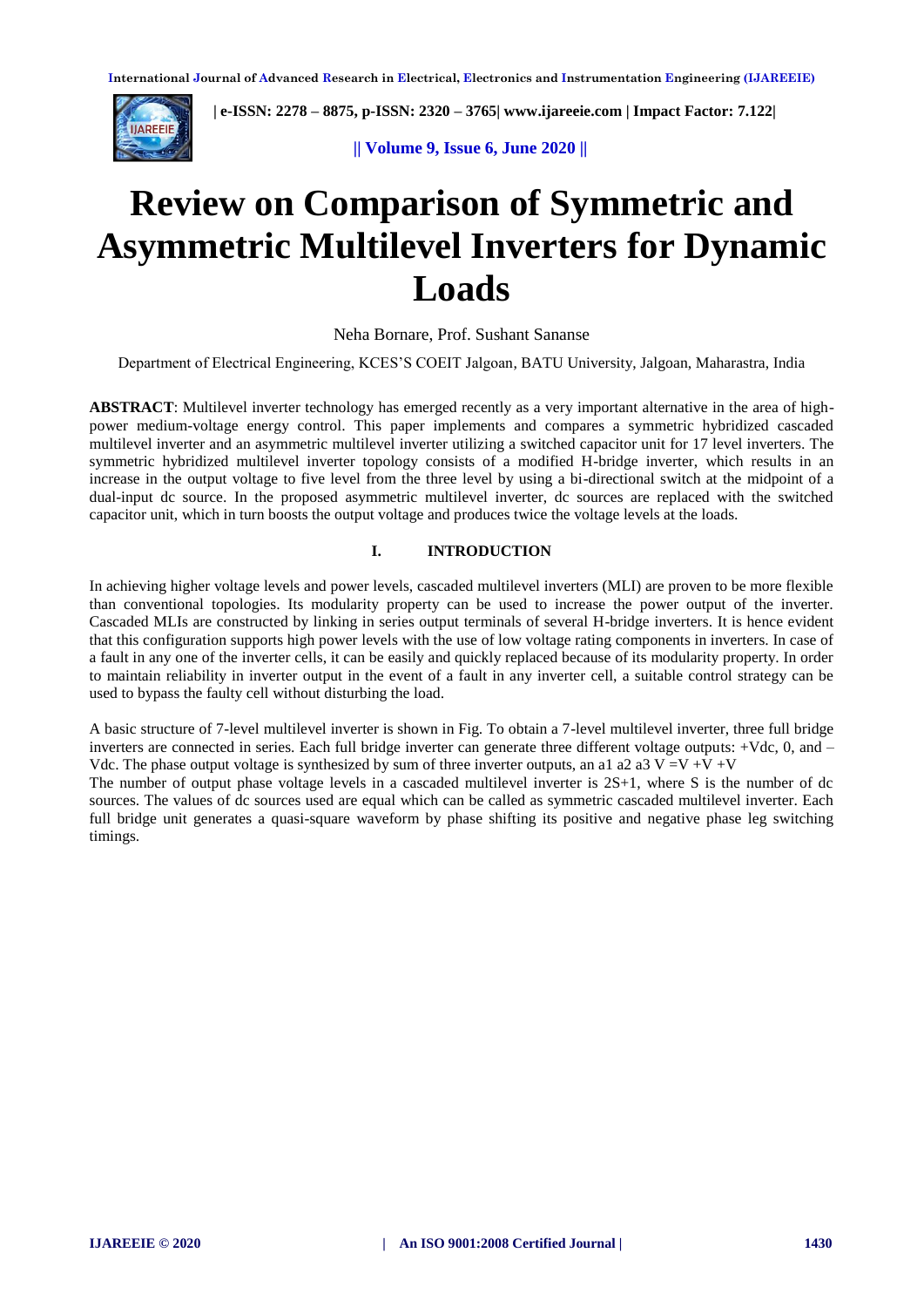

 **| e-ISSN: 2278 – 8875, p-ISSN: 2320 – 3765| [www.ijareeie.com](http://www.ijareeie.com/) | Impact Factor: 7.122|** 

 **|| Volume 9, Issue 6, June 2020 ||**

# **Review on Comparison of Symmetric and Asymmetric Multilevel Inverters for Dynamic Loads**

#### Neha Bornare, Prof. Sushant Sananse

Department of Electrical Engineering, KCES'S COEIT Jalgoan, BATU University, Jalgoan, Maharastra, India

**ABSTRACT**: Multilevel inverter technology has emerged recently as a very important alternative in the area of highpower medium-voltage energy control. This paper implements and compares a symmetric hybridized cascaded multilevel inverter and an asymmetric multilevel inverter utilizing a switched capacitor unit for 17 level inverters. The symmetric hybridized multilevel inverter topology consists of a modified H-bridge inverter, which results in an increase in the output voltage to five level from the three level by using a bi-directional switch at the midpoint of a dual-input dc source. In the proposed asymmetric multilevel inverter, dc sources are replaced with the switched capacitor unit, which in turn boosts the output voltage and produces twice the voltage levels at the loads.

#### **I. INTRODUCTION**

In achieving higher voltage levels and power levels, cascaded multilevel inverters (MLI) are proven to be more flexible than conventional topologies. Its modularity property can be used to increase the power output of the inverter. Cascaded MLIs are constructed by linking in series output terminals of several H-bridge inverters. It is hence evident that this configuration supports high power levels with the use of low voltage rating components in inverters. In case of a fault in any one of the inverter cells, it can be easily and quickly replaced because of its modularity property. In order to maintain reliability in inverter output in the event of a fault in any inverter cell, a suitable control strategy can be used to bypass the faulty cell without disturbing the load.

A basic structure of 7-level multilevel inverter is shown in Fig. To obtain a 7-level multilevel inverter, three full bridge inverters are connected in series. Each full bridge inverter can generate three different voltage outputs: +Vdc, 0, and – Vdc. The phase output voltage is synthesized by sum of three inverter outputs, an a1 a2 a3 V =V +V +V

The number of output phase voltage levels in a cascaded multilevel inverter is 2S+1, where S is the number of dc sources. The values of dc sources used are equal which can be called as symmetric cascaded multilevel inverter. Each full bridge unit generates a quasi-square waveform by phase shifting its positive and negative phase leg switching timings.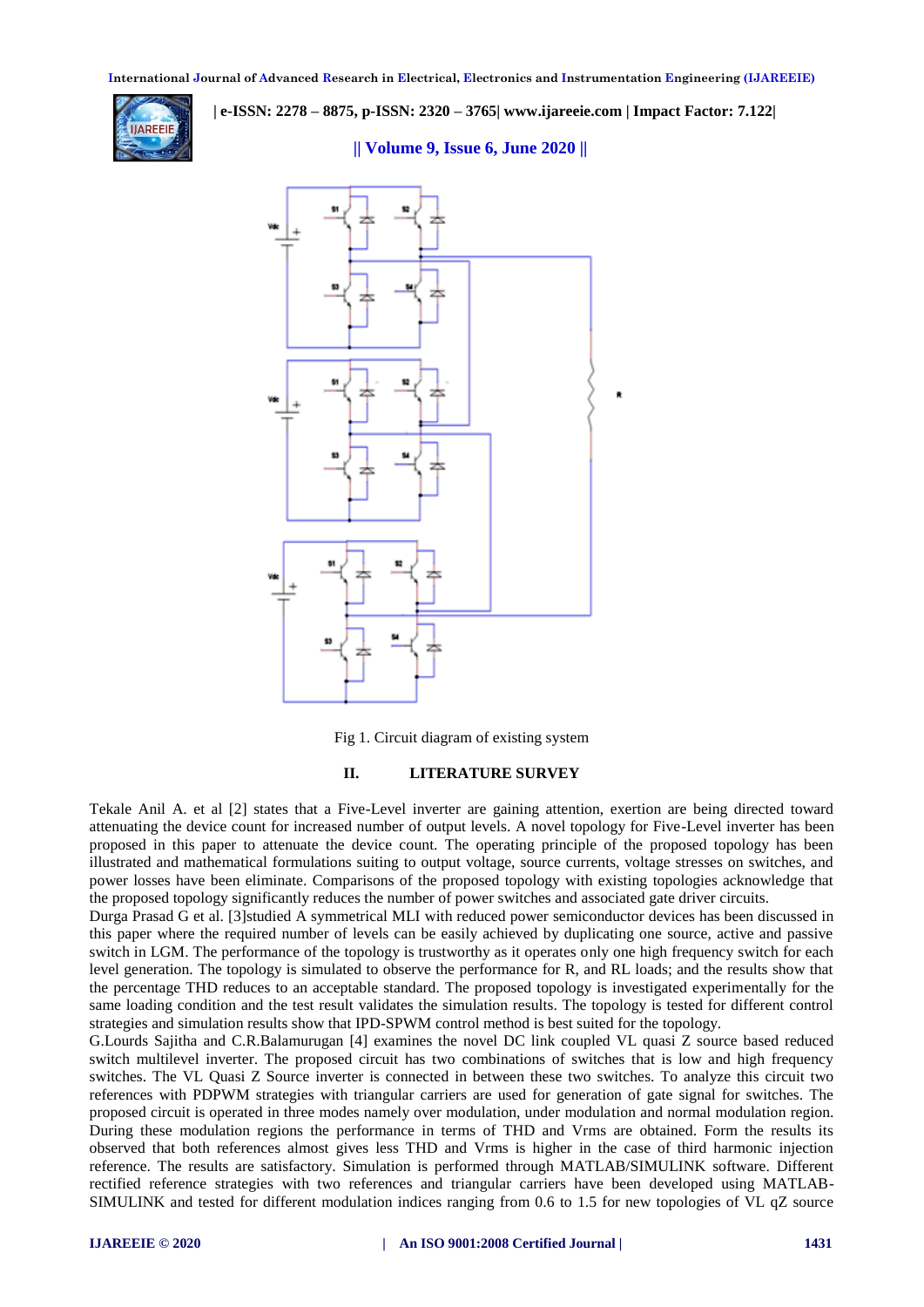

 **| e-ISSN: 2278 – 8875, p-ISSN: 2320 – 3765| [www.ijareeie.com](http://www.ijareeie.com/) | Impact Factor: 7.122|** 

#### **|| Volume 9, Issue 6, June 2020 ||**



Fig 1. Circuit diagram of existing system

#### **II. LITERATURE SURVEY**

Tekale Anil A. et al [2] states that a Five-Level inverter are gaining attention, exertion are being directed toward attenuating the device count for increased number of output levels. A novel topology for Five-Level inverter has been proposed in this paper to attenuate the device count. The operating principle of the proposed topology has been illustrated and mathematical formulations suiting to output voltage, source currents, voltage stresses on switches, and power losses have been eliminate. Comparisons of the proposed topology with existing topologies acknowledge that the proposed topology significantly reduces the number of power switches and associated gate driver circuits.

Durga Prasad G et al. [3]studied A symmetrical MLI with reduced power semiconductor devices has been discussed in this paper where the required number of levels can be easily achieved by duplicating one source, active and passive switch in LGM. The performance of the topology is trustworthy as it operates only one high frequency switch for each level generation. The topology is simulated to observe the performance for R, and RL loads; and the results show that the percentage THD reduces to an acceptable standard. The proposed topology is investigated experimentally for the same loading condition and the test result validates the simulation results. The topology is tested for different control strategies and simulation results show that IPD-SPWM control method is best suited for the topology.

G.Lourds Sajitha and C.R.Balamurugan [4] examines the novel DC link coupled VL quasi Z source based reduced switch multilevel inverter. The proposed circuit has two combinations of switches that is low and high frequency switches. The VL Quasi Z Source inverter is connected in between these two switches. To analyze this circuit two references with PDPWM strategies with triangular carriers are used for generation of gate signal for switches. The proposed circuit is operated in three modes namely over modulation, under modulation and normal modulation region. During these modulation regions the performance in terms of THD and Vrms are obtained. Form the results its observed that both references almost gives less THD and Vrms is higher in the case of third harmonic injection reference. The results are satisfactory. Simulation is performed through MATLAB/SIMULINK software. Different rectified reference strategies with two references and triangular carriers have been developed using MATLAB-SIMULINK and tested for different modulation indices ranging from 0.6 to 1.5 for new topologies of VL qZ source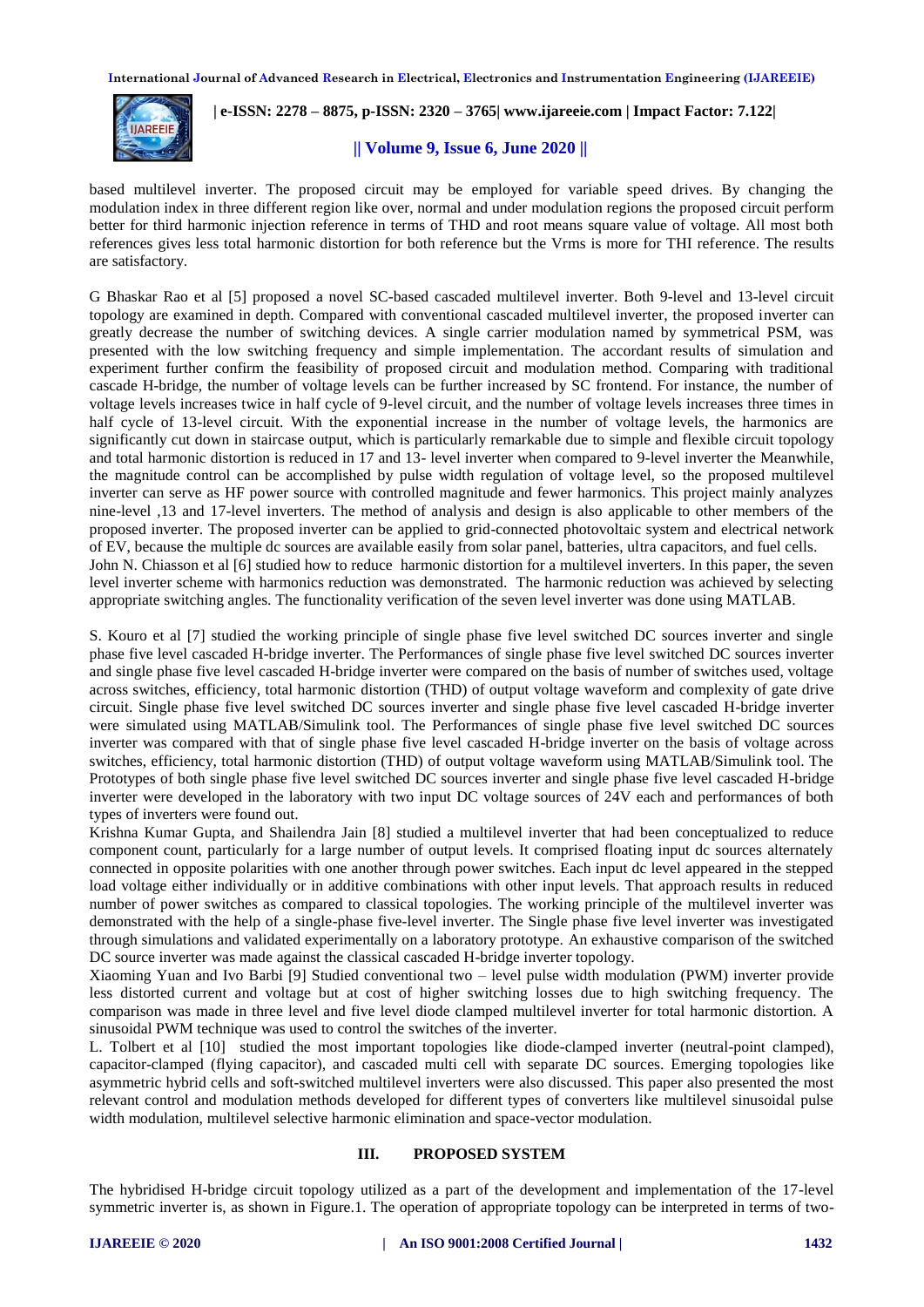

 **| e-ISSN: 2278 – 8875, p-ISSN: 2320 – 3765| [www.ijareeie.com](http://www.ijareeie.com/) | Impact Factor: 7.122|** 

#### **|| Volume 9, Issue 6, June 2020 ||**

based multilevel inverter. The proposed circuit may be employed for variable speed drives. By changing the modulation index in three different region like over, normal and under modulation regions the proposed circuit perform better for third harmonic injection reference in terms of THD and root means square value of voltage. All most both references gives less total harmonic distortion for both reference but the Vrms is more for THI reference. The results are satisfactory.

G Bhaskar Rao et al [5] proposed a novel SC-based cascaded multilevel inverter. Both 9-level and 13-level circuit topology are examined in depth. Compared with conventional cascaded multilevel inverter, the proposed inverter can greatly decrease the number of switching devices. A single carrier modulation named by symmetrical PSM, was presented with the low switching frequency and simple implementation. The accordant results of simulation and experiment further confirm the feasibility of proposed circuit and modulation method. Comparing with traditional cascade H-bridge, the number of voltage levels can be further increased by SC frontend. For instance, the number of voltage levels increases twice in half cycle of 9-level circuit, and the number of voltage levels increases three times in half cycle of 13-level circuit. With the exponential increase in the number of voltage levels, the harmonics are significantly cut down in staircase output, which is particularly remarkable due to simple and flexible circuit topology and total harmonic distortion is reduced in 17 and 13- level inverter when compared to 9-level inverter the Meanwhile, the magnitude control can be accomplished by pulse width regulation of voltage level, so the proposed multilevel inverter can serve as HF power source with controlled magnitude and fewer harmonics. This project mainly analyzes nine-level ,13 and 17-level inverters. The method of analysis and design is also applicable to other members of the proposed inverter. The proposed inverter can be applied to grid-connected photovoltaic system and electrical network of EV, because the multiple dc sources are available easily from solar panel, batteries, ultra capacitors, and fuel cells. John N. Chiasson et al [6] studied how to reduce harmonic distortion for a multilevel inverters. In this paper, the seven level inverter scheme with harmonics reduction was demonstrated. The harmonic reduction was achieved by selecting appropriate switching angles. The functionality verification of the seven level inverter was done using MATLAB.

S. Kouro et al [7] studied the working principle of single phase five level switched DC sources inverter and single phase five level cascaded H-bridge inverter. The Performances of single phase five level switched DC sources inverter and single phase five level cascaded H-bridge inverter were compared on the basis of number of switches used, voltage across switches, efficiency, total harmonic distortion (THD) of output voltage waveform and complexity of gate drive circuit. Single phase five level switched DC sources inverter and single phase five level cascaded H-bridge inverter were simulated using MATLAB/Simulink tool. The Performances of single phase five level switched DC sources inverter was compared with that of single phase five level cascaded H-bridge inverter on the basis of voltage across switches, efficiency, total harmonic distortion (THD) of output voltage waveform using MATLAB/Simulink tool. The Prototypes of both single phase five level switched DC sources inverter and single phase five level cascaded H-bridge inverter were developed in the laboratory with two input DC voltage sources of 24V each and performances of both types of inverters were found out.

Krishna Kumar Gupta, and Shailendra Jain [8] studied a multilevel inverter that had been conceptualized to reduce component count, particularly for a large number of output levels. It comprised floating input dc sources alternately connected in opposite polarities with one another through power switches. Each input dc level appeared in the stepped load voltage either individually or in additive combinations with other input levels. That approach results in reduced number of power switches as compared to classical topologies. The working principle of the multilevel inverter was demonstrated with the help of a single-phase five-level inverter. The Single phase five level inverter was investigated through simulations and validated experimentally on a laboratory prototype. An exhaustive comparison of the switched DC source inverter was made against the classical cascaded H-bridge inverter topology.

Xiaoming Yuan and Ivo Barbi [9] Studied conventional two – level pulse width modulation (PWM) inverter provide less distorted current and voltage but at cost of higher switching losses due to high switching frequency. The comparison was made in three level and five level diode clamped multilevel inverter for total harmonic distortion. A sinusoidal PWM technique was used to control the switches of the inverter.

L. Tolbert et al [10] studied the most important topologies like diode-clamped inverter (neutral-point clamped), capacitor-clamped (flying capacitor), and cascaded multi cell with separate DC sources. Emerging topologies like asymmetric hybrid cells and soft-switched multilevel inverters were also discussed. This paper also presented the most relevant control and modulation methods developed for different types of converters like multilevel sinusoidal pulse width modulation, multilevel selective harmonic elimination and space-vector modulation.

#### **III. PROPOSED SYSTEM**

The hybridised H-bridge circuit topology utilized as a part of the development and implementation of the 17-level symmetric inverter is, as shown in Figure.1. The operation of appropriate topology can be interpreted in terms of two-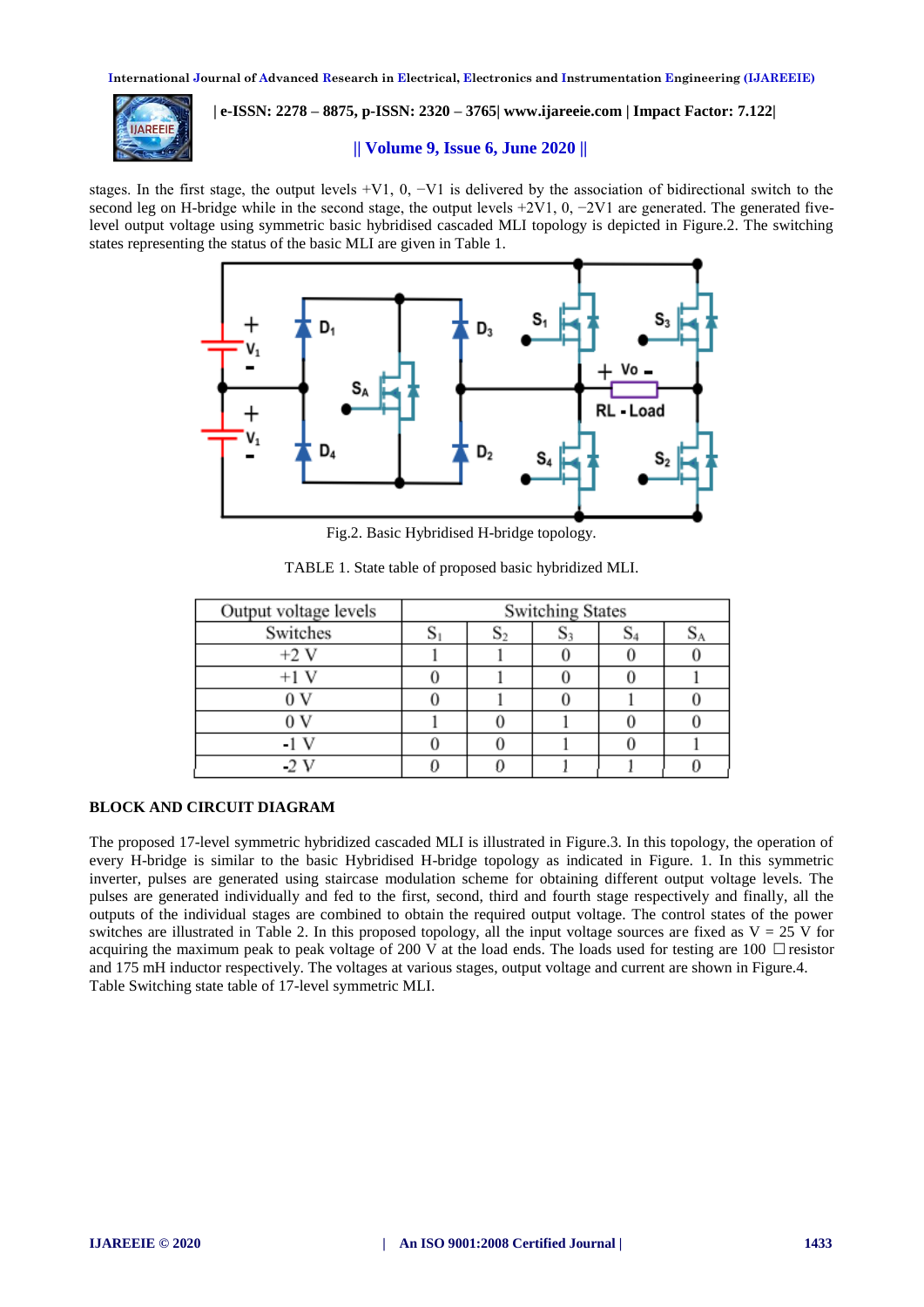

 **| e-ISSN: 2278 – 8875, p-ISSN: 2320 – 3765| [www.ijareeie.com](http://www.ijareeie.com/) | Impact Factor: 7.122|** 

#### **|| Volume 9, Issue 6, June 2020 ||**

stages. In the first stage, the output levels +V1, 0,  $-V1$  is delivered by the association of bidirectional switch to the second leg on H-bridge while in the second stage, the output levels +2V1, 0, −2V1 are generated. The generated fivelevel output voltage using symmetric basic hybridised cascaded MLI topology is depicted in Figure.2. The switching states representing the status of the basic MLI are given in Table 1.



Fig.2. Basic Hybridised H-bridge topology.

| Output voltage levels | <b>Switching States</b> |    |  |  |    |  |  |  |  |  |
|-----------------------|-------------------------|----|--|--|----|--|--|--|--|--|
| Switches              |                         | ود |  |  | ΟΑ |  |  |  |  |  |
| $+2V$                 |                         |    |  |  |    |  |  |  |  |  |
|                       |                         |    |  |  |    |  |  |  |  |  |
|                       |                         |    |  |  |    |  |  |  |  |  |
|                       |                         |    |  |  |    |  |  |  |  |  |
|                       |                         |    |  |  |    |  |  |  |  |  |
|                       |                         |    |  |  |    |  |  |  |  |  |

TABLE 1. State table of proposed basic hybridized MLI.

#### **BLOCK AND CIRCUIT DIAGRAM**

The proposed 17-level symmetric hybridized cascaded MLI is illustrated in Figure.3. In this topology, the operation of every H-bridge is similar to the basic Hybridised H-bridge topology as indicated in Figure. 1. In this symmetric inverter, pulses are generated using staircase modulation scheme for obtaining different output voltage levels. The pulses are generated individually and fed to the first, second, third and fourth stage respectively and finally, all the outputs of the individual stages are combined to obtain the required output voltage. The control states of the power switches are illustrated in Table 2. In this proposed topology, all the input voltage sources are fixed as  $V = 25$  V for acquiring the maximum peak to peak voltage of 200 V at the load ends. The loads used for testing are  $100 \cdot$  resistor and 175 mH inductor respectively. The voltages at various stages, output voltage and current are shown in Figure.4. Table Switching state table of 17-level symmetric MLI.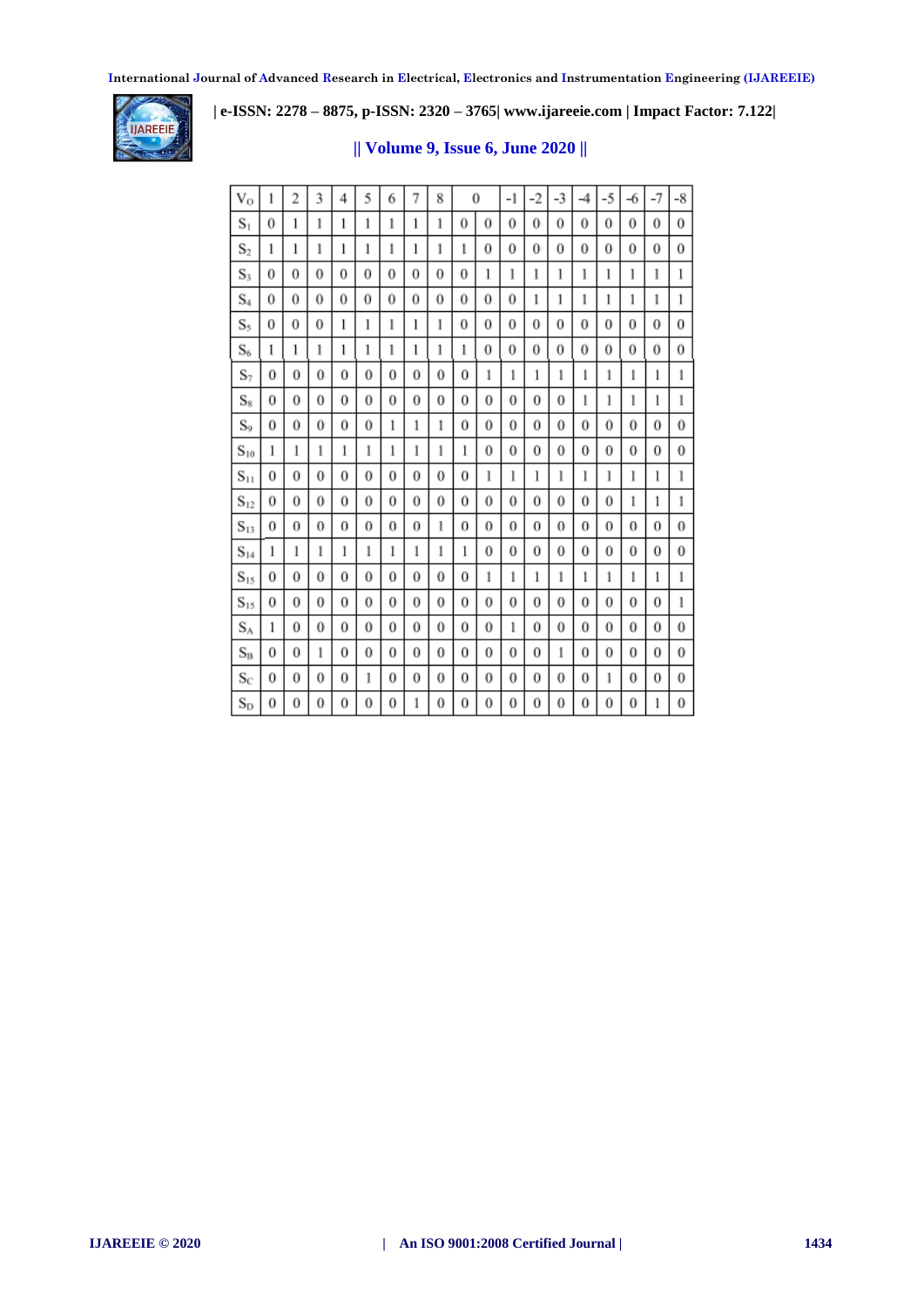

 **| e-ISSN: 2278 – 8875, p-ISSN: 2320 – 3765| [www.ijareeie.com](http://www.ijareeie.com/) | Impact Factor: 7.122|** 

### **|| Volume 9, Issue 6, June 2020 ||**

| $V_{O}$           | 1        | 2        | 3 | 4 | 5 | 6 | 7 | 8 |   | 0 | -1 | -2 | $-3$ | $-4$     | $-5$     | -6       | $-7$     | $-8$     |
|-------------------|----------|----------|---|---|---|---|---|---|---|---|----|----|------|----------|----------|----------|----------|----------|
| $S_1$             | 0        | 1        | 1 | 1 | 1 | 1 | 1 | 1 | 0 | 0 | 0  | 0  | 0    | 0        | 0        | $\bf{0}$ | 0        | 0        |
| $S_2$             | 1        | 1        | 1 | 1 | 1 | 1 | 1 | 1 | 1 | 0 | 0  | 0  | 0    | $\theta$ | 0        | $\bf{0}$ | $\bf{0}$ | 0        |
| $S_3$             | 0        | $\Omega$ | 0 | 0 | 0 | 0 | 0 | 0 | 0 | 1 | l  | 1  | l    | l        | 1        | 1        | 1        | 1        |
| $\mathrm{S}_4$    | 0        | 0        | 0 | 0 | 0 | 0 | 0 | 0 | 0 | 0 | 0  | 1  | 1    | 1        | 1        | 1        | 1        | 1        |
| S,                | 0        | $\Omega$ | 0 | 1 | 1 | ı | 1 | 1 | 0 | 0 | 0  | 0  | 0    | $\theta$ | 0        | 0        | 0        | 0        |
| $S_6$             | 1        | 1        | 1 | 1 | 1 | 1 | 1 | 1 | 1 | 0 | 0  | 0  | 0    | 0        | 0        | 0        | 0        | 0        |
| $S_7$             | $\bf{0}$ | 0        | 0 | 0 | 0 | 0 | 0 | 0 | 0 | 1 | 1  | 1  | 1    | 1        | 1        | 1        | 1        | 1        |
| $S_8$             | 0        | 0        | 0 | 0 | 0 | 0 | 0 | 0 | 0 | 0 | 0  | 0  | 0    | 1        | 1        | l        | 1        | 1        |
| $S_0$             | 0        | 0        | 0 | 0 | 0 | 1 | 1 | 1 | 0 | 0 | 0  | 0  | 0    | 0        | 0        | 0        | 0        | 0        |
| $S_{10}$          | 1        | 1        | 1 | 1 | 1 | 1 | 1 | 1 | 1 | 0 | 0  | 0  | 0    | 0        | 0        | 0        | 0        | 0        |
| $S_{11}$          | 0        | 0        | 0 | 0 | 0 | 0 | 0 | 0 | 0 | 1 | 1  | 1  | 1    | 1        | 1        | 1        | 1        | 1        |
| $\mathrm{S}_{12}$ | 0        | 0        | 0 | 0 | 0 | 0 | 0 | 0 | 0 | 0 | 0  | 0  | 0    | 0        | 0        | 1        | 1        | 1        |
| $S_{13}$          | 0        | 0        | 0 | 0 | 0 | 0 | 0 | 1 | 0 | 0 | 0  | 0  | 0    | 0        | 0        | 0        | 0        | $\bf{0}$ |
| $\mathrm{S}_{14}$ | 1        | 1        | 1 | 1 | 1 | 1 | 1 | 1 | 1 | 0 | 0  | 0  | 0    | 0        | 0        | 0        | 0        | $\bf{0}$ |
| $S_{15}$          | 0        | 0        | 0 | 0 | 0 | 0 | 0 | 0 | 0 | 1 | 1  | 1  | 1    | 1        | 1        | 1        | 1        | 1        |
| $\mathrm{S}_{15}$ | 0        | 0        | 0 | 0 | 0 | 0 | 0 | 0 | 0 | 0 | 0  | 0  | 0    | 0        | $\theta$ | 0        | 0        | ı        |
| $S_A$             | 1        | 0        | 0 | 0 | 0 | 0 | 0 | 0 | 0 | 0 | 1  | 0  | 0    | 0        | 0        | 0        | 0        | $\theta$ |
| $S_B$             | 0        | 0        | 1 | 0 | 0 | 0 | 0 | 0 | 0 | 0 | 0  | 0  | 1    | 0        | 0        | 0        | 0        | 0        |
| $S_C$             | 0        | 0        | 0 | 0 | ı | 0 | 0 | 0 | 0 | 0 | 0  | 0  | 0    | 0        | 1        | 0        | 0        | $\bf{0}$ |
| $S_{D}$           | 0        | 0        | 0 | 0 | 0 | 0 | 1 | 0 | 0 | 0 | 0  | 0  | 0    | 0        | 0        | 0        | 1        | $\bf{0}$ |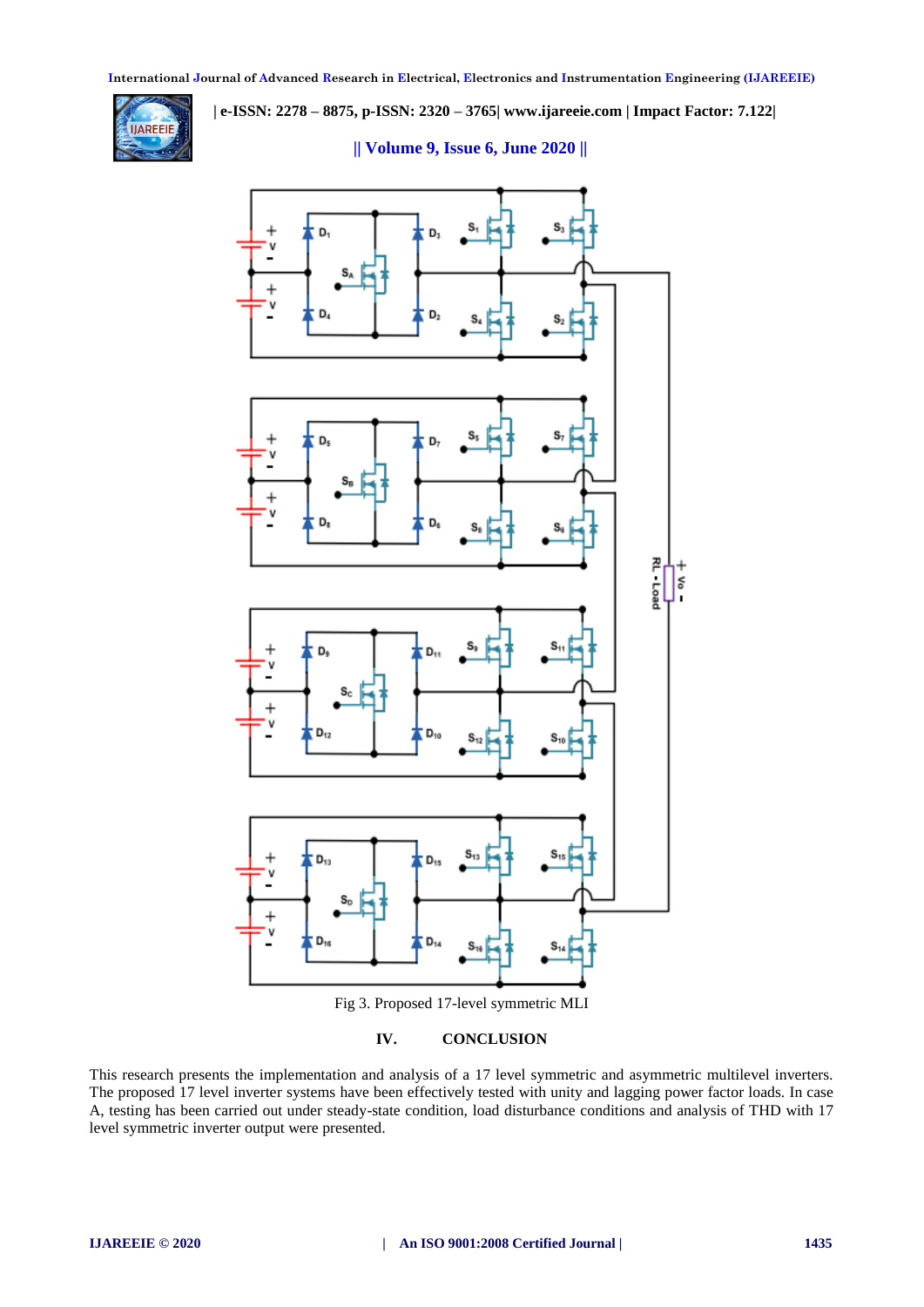

 **| e-ISSN: 2278 – 8875, p-ISSN: 2320 – 3765| [www.ijareeie.com](http://www.ijareeie.com/) | Impact Factor: 7.122|** 

 **|| Volume 9, Issue 6, June 2020 ||**



**IV. CONCLUSION**

This research presents the implementation and analysis of a 17 level symmetric and asymmetric multilevel inverters. The proposed 17 level inverter systems have been effectively tested with unity and lagging power factor loads. In case A, testing has been carried out under steady-state condition, load disturbance conditions and analysis of THD with 17 level symmetric inverter output were presented.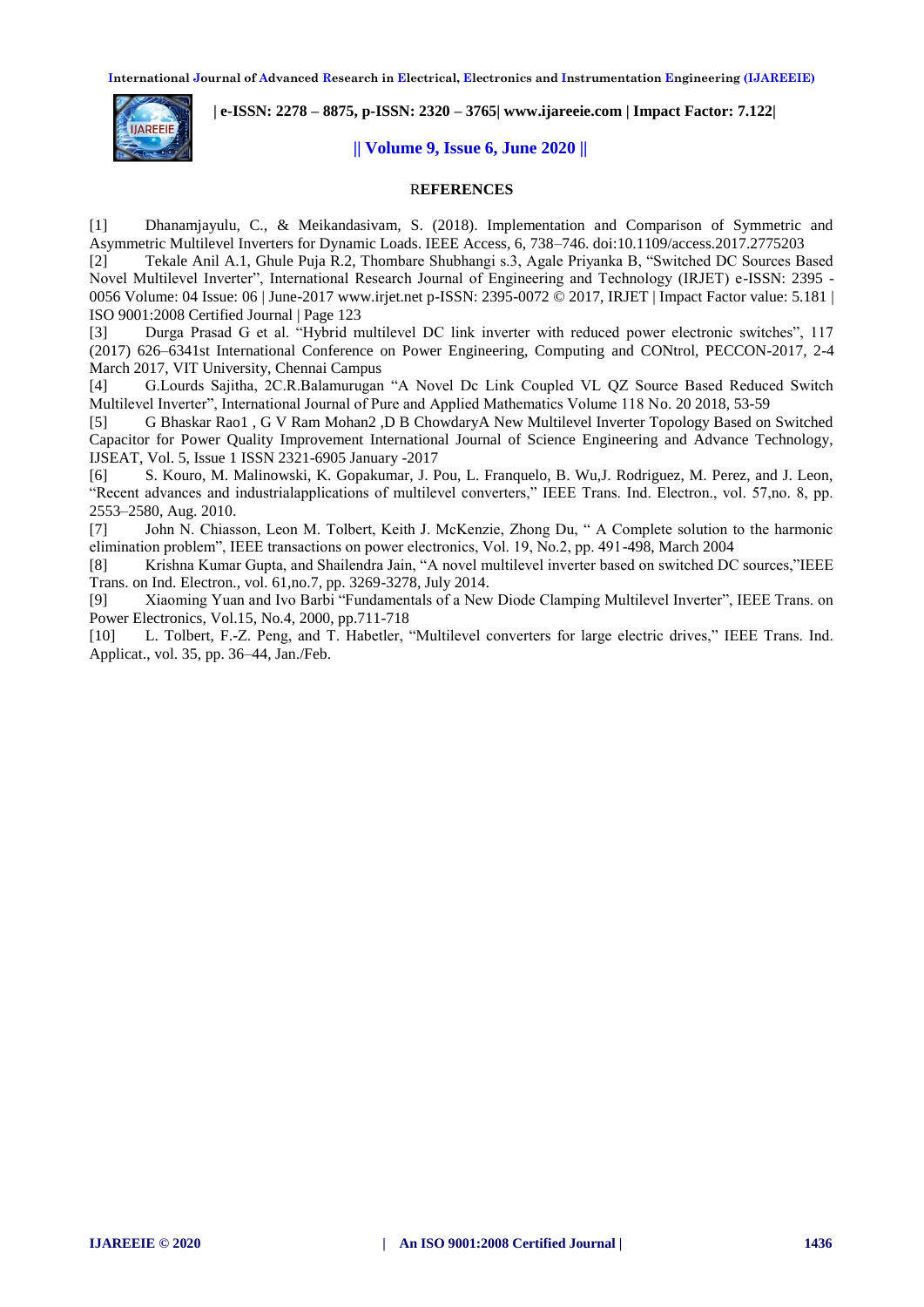

# **|| Volume 9, Issue 6, June 2020 ||**

 **| e-ISSN: 2278 – 8875, p-ISSN: 2320 – 3765| [www.ijareeie.com](http://www.ijareeie.com/) | Impact Factor: 7.122|** 

## R**EFERENCES**

[1] Dhanamjayulu, C., & Meikandasivam, S. (2018). Implementation and Comparison of Symmetric and Asymmetric Multilevel Inverters for Dynamic Loads. IEEE Access, 6, 738–746. doi:10.1109/access.2017.2775203

[2] Tekale Anil A.1, Ghule Puja R.2, Thombare Shubhangi s.3, Agale Priyanka B, "Switched DC Sources Based Novel Multilevel Inverter", International Research Journal of Engineering and Technology (IRJET) e-ISSN: 2395 - 0056 Volume: 04 Issue: 06 | June-2017 www.irjet.net p-ISSN: 2395-0072 © 2017, IRJET | Impact Factor value: 5.181 | ISO 9001:2008 Certified Journal | Page 123

[3] Durga Prasad G et al. "Hybrid multilevel DC link inverter with reduced power electronic switches", 117 (2017) 626–6341st International Conference on Power Engineering, Computing and CONtrol, PECCON-2017, 2-4 March 2017, VIT University, Chennai Campus

[4] G.Lourds Sajitha, 2C.R.Balamurugan "A Novel Dc Link Coupled VL QZ Source Based Reduced Switch Multilevel Inverter", International Journal of Pure and Applied Mathematics Volume 118 No. 20 2018, 53-59

[5] G Bhaskar Rao1 , G V Ram Mohan2 ,D B ChowdaryA New Multilevel Inverter Topology Based on Switched Capacitor for Power Quality Improvement International Journal of Science Engineering and Advance Technology, IJSEAT, Vol. 5, Issue 1 ISSN 2321-6905 January -2017

[6] S. Kouro, M. Malinowski, K. Gopakumar, J. Pou, L. Franquelo, B. Wu,J. Rodriguez, M. Perez, and J. Leon, "Recent advances and industrialapplications of multilevel converters," IEEE Trans. Ind. Electron., vol. 57,no. 8, pp. 2553–2580, Aug. 2010.

[7] John N. Chiasson, Leon M. Tolbert, Keith J. McKenzie, Zhong Du, " A Complete solution to the harmonic elimination problem", IEEE transactions on power electronics, Vol. 19, No.2, pp. 491-498, March 2004

[8] Krishna Kumar Gupta, and Shailendra Jain, "A novel multilevel inverter based on switched DC sources,"IEEE Trans. on Ind. Electron., vol. 61,no.7, pp. 3269-3278, July 2014.

[9] Xiaoming Yuan and Ivo Barbi "Fundamentals of a New Diode Clamping Multilevel Inverter", IEEE Trans. on Power Electronics, Vol.15, No.4, 2000, pp.711-718

[10] L. Tolbert, F.-Z. Peng, and T. Habetler, "Multilevel converters for large electric drives," IEEE Trans. Ind. Applicat., vol. 35, pp. 36–44, Jan./Feb.